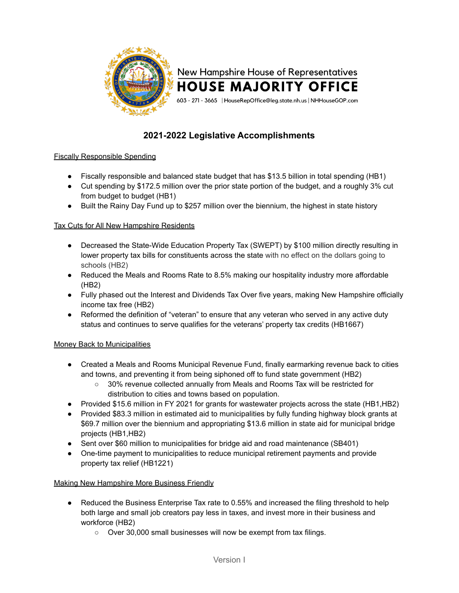

# **2021-2022 Legislative Accomplishments**

# Fiscally Responsible Spending

- Fiscally responsible and balanced state budget that has \$13.5 billion in total spending (HB1)
- Cut spending by \$172.5 million over the prior state portion of the budget, and a roughly 3% cut from budget to budget (HB1)
- Built the Rainy Day Fund up to \$257 million over the biennium, the highest in state history

#### Tax Cuts for All New Hampshire Residents

- Decreased the State-Wide Education Property Tax (SWEPT) by \$100 million directly resulting in lower property tax bills for constituents across the state with no effect on the dollars going to schools (HB2)
- Reduced the Meals and Rooms Rate to 8.5% making our hospitality industry more affordable (HB2)
- Fully phased out the Interest and Dividends Tax Over five years, making New Hampshire officially income tax free (HB2)
- Reformed the definition of "veteran" to ensure that any veteran who served in any active duty status and continues to serve qualifies for the veterans' property tax credits (HB1667)

# Money Back to Municipalities

- Created a Meals and Rooms Municipal Revenue Fund, finally earmarking revenue back to cities and towns, and preventing it from being siphoned off to fund state government (HB2)
	- 30% revenue collected annually from Meals and Rooms Tax will be restricted for distribution to cities and towns based on population.
- Provided \$15.6 million in FY 2021 for grants for wastewater projects across the state (HB1,HB2)
- Provided \$83.3 million in estimated aid to municipalities by fully funding highway block grants at \$69.7 million over the biennium and appropriating \$13.6 million in state aid for municipal bridge projects (HB1,HB2)
- Sent over \$60 million to municipalities for bridge aid and road maintenance (SB401)
- One-time payment to municipalities to reduce municipal retirement payments and provide property tax relief (HB1221)

# Making New Hampshire More Business Friendly

- Reduced the Business Enterprise Tax rate to 0.55% and increased the filing threshold to help both large and small job creators pay less in taxes, and invest more in their business and workforce (HB2)
	- Over 30,000 small businesses will now be exempt from tax filings.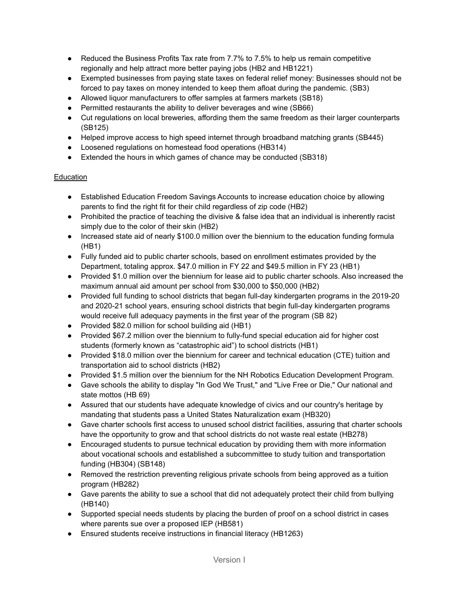- Reduced the Business Profits Tax rate from 7.7% to 7.5% to help us remain competitive regionally and help attract more better paying jobs (HB2 and HB1221)
- Exempted businesses from paying state taxes on federal relief money: Businesses should not be forced to pay taxes on money intended to keep them afloat during the pandemic. (SB3)
- Allowed liquor manufacturers to offer samples at farmers markets (SB18)
- Permitted restaurants the ability to deliver beverages and wine (SB66)
- Cut regulations on local breweries, affording them the same freedom as their larger counterparts (SB125)
- Helped improve access to high speed internet through broadband matching grants (SB445)
- Loosened regulations on homestead food operations (HB314)
- Extended the hours in which games of chance may be conducted (SB318)

# **Education**

- Established Education Freedom Savings Accounts to increase education choice by allowing parents to find the right fit for their child regardless of zip code (HB2)
- Prohibited the practice of teaching the divisive & false idea that an individual is inherently racist simply due to the color of their skin (HB2)
- Increased state aid of nearly \$100.0 million over the biennium to the education funding formula (HB1)
- Fully funded aid to public charter schools, based on enrollment estimates provided by the Department, totaling approx. \$47.0 million in FY 22 and \$49.5 million in FY 23 (HB1)
- Provided \$1.0 million over the biennium for lease aid to public charter schools. Also increased the maximum annual aid amount per school from \$30,000 to \$50,000 (HB2)
- Provided full funding to school districts that began full-day kindergarten programs in the 2019-20 and 2020-21 school years, ensuring school districts that begin full-day kindergarten programs would receive full adequacy payments in the first year of the program (SB 82)
- Provided \$82.0 million for school building aid (HB1)
- Provided \$67.2 million over the biennium to fully-fund special education aid for higher cost students (formerly known as "catastrophic aid") to school districts (HB1)
- Provided \$18.0 million over the biennium for career and technical education (CTE) tuition and transportation aid to school districts (HB2)
- Provided \$1.5 million over the biennium for the NH Robotics Education Development Program.
- Gave schools the ability to display "In God We Trust," and "Live Free or Die," Our national and state mottos (HB 69)
- Assured that our students have adequate knowledge of civics and our country's heritage by mandating that students pass a United States Naturalization exam (HB320)
- Gave charter schools first access to unused school district facilities, assuring that charter schools have the opportunity to grow and that school districts do not waste real estate (HB278)
- Encouraged students to pursue technical education by providing them with more information about vocational schools and established a subcommittee to study tuition and transportation funding (HB304) (SB148)
- Removed the restriction preventing religious private schools from being approved as a tuition program (HB282)
- Gave parents the ability to sue a school that did not adequately protect their child from bullying (HB140)
- Supported special needs students by placing the burden of proof on a school district in cases where parents sue over a proposed IEP (HB581)
- Ensured students receive instructions in financial literacy (HB1263)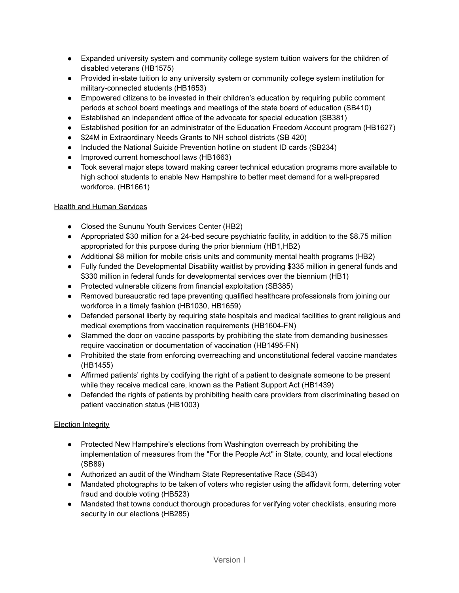- Expanded university system and community college system tuition waivers for the children of disabled veterans (HB1575)
- Provided in-state tuition to any university system or community college system institution for military-connected students (HB1653)
- Empowered citizens to be invested in their children's education by requiring public comment periods at school board meetings and meetings of the state board of education (SB410)
- Established an independent office of the advocate for special education (SB381)
- Established position for an administrator of the Education Freedom Account program (HB1627)
- \$24M in Extraordinary Needs Grants to NH school districts (SB 420)
- Included the National Suicide Prevention hotline on student ID cards (SB234)
- Improved current homeschool laws (HB1663)
- Took several major steps toward making career technical education programs more available to high school students to enable New Hampshire to better meet demand for a well-prepared workforce. (HB1661)

#### Health and Human Services

- Closed the Sununu Youth Services Center (HB2)
- Appropriated \$30 million for a 24-bed secure psychiatric facility, in addition to the \$8.75 million appropriated for this purpose during the prior biennium (HB1,HB2)
- Additional \$8 million for mobile crisis units and community mental health programs (HB2)
- Fully funded the Developmental Disability waitlist by providing \$335 million in general funds and \$330 million in federal funds for developmental services over the biennium (HB1)
- Protected vulnerable citizens from financial exploitation (SB385)
- Removed bureaucratic red tape preventing qualified healthcare professionals from joining our workforce in a timely fashion (HB1030, HB1659)
- Defended personal liberty by requiring state hospitals and medical facilities to grant religious and medical exemptions from vaccination requirements (HB1604-FN)
- Slammed the door on vaccine passports by prohibiting the state from demanding businesses require vaccination or documentation of vaccination (HB1495-FN)
- Prohibited the state from enforcing overreaching and unconstitutional federal vaccine mandates (HB1455)
- Affirmed patients' rights by codifying the right of a patient to designate someone to be present while they receive medical care, known as the Patient Support Act (HB1439)
- Defended the rights of patients by prohibiting health care providers from discriminating based on patient vaccination status (HB1003)

# Election Integrity

- Protected New Hampshire's elections from Washington overreach by prohibiting the implementation of measures from the "For the People Act" in State, county, and local elections (SB89)
- Authorized an audit of the Windham State Representative Race (SB43)
- Mandated photographs to be taken of voters who register using the affidavit form, deterring voter fraud and double voting (HB523)
- Mandated that towns conduct thorough procedures for verifying voter checklists, ensuring more security in our elections (HB285)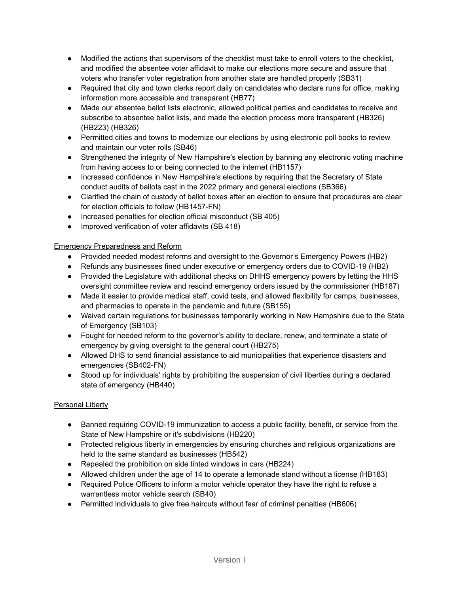- Modified the actions that supervisors of the checklist must take to enroll voters to the checklist, and modified the absentee voter affidavit to make our elections more secure and assure that voters who transfer voter registration from another state are handled properly (SB31)
- Required that city and town clerks report daily on candidates who declare runs for office, making information more accessible and transparent (HB77)
- Made our absentee ballot lists electronic, allowed political parties and candidates to receive and subscribe to absentee ballot lists, and made the election process more transparent (HB326) (HB223) (HB326)
- Permitted cities and towns to modernize our elections by using electronic poll books to review and maintain our voter rolls (SB46)
- Strengthened the integrity of New Hampshire's election by banning any electronic voting machine from having access to or being connected to the internet (HB1157)
- Increased confidence in New Hampshire's elections by requiring that the Secretary of State conduct audits of ballots cast in the 2022 primary and general elections (SB366)
- Clarified the chain of custody of ballot boxes after an election to ensure that procedures are clear for election officials to follow (HB1457-FN)
- Increased penalties for election official misconduct (SB 405)
- Improved verification of voter affidavits (SB 418)

# Emergency Preparedness and Reform

- Provided needed modest reforms and oversight to the Governor's Emergency Powers (HB2)
- Refunds any businesses fined under executive or emergency orders due to COVID-19 (HB2)
- Provided the Legislature with additional checks on DHHS emergency powers by letting the HHS oversight committee review and rescind emergency orders issued by the commissioner (HB187)
- Made it easier to provide medical staff, covid tests, and allowed flexibility for camps, businesses, and pharmacies to operate in the pandemic and future (SB155)
- Waived certain regulations for businesses temporarily working in New Hampshire due to the State of Emergency (SB103)
- Fought for needed reform to the governor's ability to declare, renew, and terminate a state of emergency by giving oversight to the general court (HB275)
- Allowed DHS to send financial assistance to aid municipalities that experience disasters and emergencies (SB402-FN)
- Stood up for individuals' rights by prohibiting the suspension of civil liberties during a declared state of emergency (HB440)

# Personal Liberty

- Banned requiring COVID-19 immunization to access a public facility, benefit, or service from the State of New Hampshire or it's subdivisions (HB220)
- Protected religious liberty in emergencies by ensuring churches and religious organizations are held to the same standard as businesses (HB542)
- Repealed the prohibition on side tinted windows in cars (HB224)
- Allowed children under the age of 14 to operate a lemonade stand without a license (HB183)
- Required Police Officers to inform a motor vehicle operator they have the right to refuse a warrantless motor vehicle search (SB40)
- Permitted individuals to give free haircuts without fear of criminal penalties (HB606)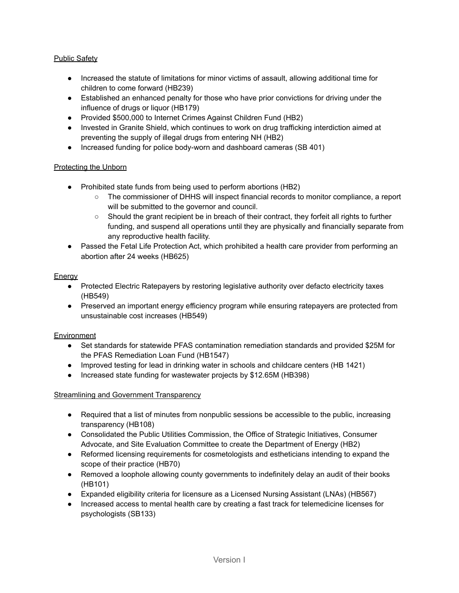#### Public Safety

- Increased the statute of limitations for minor victims of assault, allowing additional time for children to come forward (HB239)
- Established an enhanced penalty for those who have prior convictions for driving under the influence of drugs or liquor (HB179)
- Provided \$500,000 to Internet Crimes Against Children Fund (HB2)
- Invested in Granite Shield, which continues to work on drug trafficking interdiction aimed at preventing the supply of illegal drugs from entering NH (HB2)
- Increased funding for police body-worn and dashboard cameras (SB 401)

#### Protecting the Unborn

- Prohibited state funds from being used to perform abortions (HB2)
	- The commissioner of DHHS will inspect financial records to monitor compliance, a report will be submitted to the governor and council.
	- Should the grant recipient be in breach of their contract, they forfeit all rights to further funding, and suspend all operations until they are physically and financially separate from any reproductive health facility.
- Passed the Fetal Life Protection Act, which prohibited a health care provider from performing an abortion after 24 weeks (HB625)

#### Energy

- **●** Protected Electric Ratepayers by restoring legislative authority over defacto electricity taxes (HB549)
- **●** Preserved an important energy efficiency program while ensuring ratepayers are protected from unsustainable cost increases (HB549)

#### **Environment**

- Set standards for statewide PFAS contamination remediation standards and provided \$25M for the PFAS Remediation Loan Fund (HB1547)
- Improved testing for lead in drinking water in schools and childcare centers (HB 1421)
- Increased state funding for wastewater projects by \$12.65M (HB398)

#### Streamlining and Government Transparency

- Required that a list of minutes from nonpublic sessions be accessible to the public, increasing transparency (HB108)
- Consolidated the Public Utilities Commission, the Office of Strategic Initiatives, Consumer Advocate, and Site Evaluation Committee to create the Department of Energy (HB2)
- Reformed licensing requirements for cosmetologists and estheticians intending to expand the scope of their practice (HB70)
- Removed a loophole allowing county governments to indefinitely delay an audit of their books (HB101)
- Expanded eligibility criteria for licensure as a Licensed Nursing Assistant (LNAs) (HB567)
- Increased access to mental health care by creating a fast track for telemedicine licenses for psychologists (SB133)